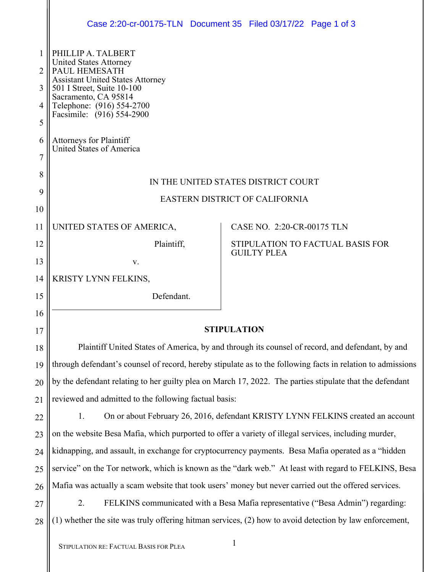|        | Case 2:20-cr-00175-TLN Document 35 Filed 03/17/22 Page 1 of 3                                               |                                                                                                         |  |
|--------|-------------------------------------------------------------------------------------------------------------|---------------------------------------------------------------------------------------------------------|--|
|        | PHILLIP A. TALBERT                                                                                          |                                                                                                         |  |
| 2      | <b>United States Attorney</b><br>PAUL HEMESATH                                                              |                                                                                                         |  |
| 3      | <b>Assistant United States Attorney</b><br>501 I Street, Suite 10-100                                       |                                                                                                         |  |
| 4      | Sacramento, CA 95814<br>Telephone: (916) 554-2700<br>Facsimile: (916) 554-2900                              |                                                                                                         |  |
| 5      |                                                                                                             |                                                                                                         |  |
| 6<br>7 | Attorneys for Plaintiff<br>United States of America                                                         |                                                                                                         |  |
| 8      |                                                                                                             |                                                                                                         |  |
| 9      | IN THE UNITED STATES DISTRICT COURT                                                                         |                                                                                                         |  |
| 10     | EASTERN DISTRICT OF CALIFORNIA                                                                              |                                                                                                         |  |
| 11     | UNITED STATES OF AMERICA,                                                                                   | CASE NO. 2:20-CR-00175 TLN                                                                              |  |
| 12     | Plaintiff,                                                                                                  | STIPULATION TO FACTUAL BASIS FOR                                                                        |  |
| 13     | V.                                                                                                          | <b>GUILTY PLEA</b>                                                                                      |  |
| 14     | KRISTY LYNN FELKINS,                                                                                        |                                                                                                         |  |
| 15     | Defendant.                                                                                                  |                                                                                                         |  |
| 16     |                                                                                                             |                                                                                                         |  |
| 17     | <b>STIPULATION</b>                                                                                          |                                                                                                         |  |
| 18     | Plaintiff United States of America, by and through its counsel of record, and defendant, by and             |                                                                                                         |  |
| 19     | through defendant's counsel of record, hereby stipulate as to the following facts in relation to admissions |                                                                                                         |  |
| 20     | by the defendant relating to her guilty plea on March 17, 2022. The parties stipulate that the defendant    |                                                                                                         |  |
| 21     | reviewed and admitted to the following factual basis:                                                       |                                                                                                         |  |
| 22     | On or about February 26, 2016, defendant KRISTY LYNN FELKINS created an account<br>1.                       |                                                                                                         |  |
| 23     | on the website Besa Mafia, which purported to offer a variety of illegal services, including murder,        |                                                                                                         |  |
| 24     | kidnapping, and assault, in exchange for cryptocurrency payments. Besa Mafia operated as a "hidden          |                                                                                                         |  |
| 25     | service" on the Tor network, which is known as the "dark web." At least with regard to FELKINS, Besa        |                                                                                                         |  |
| 26     | Mafia was actually a scam website that took users' money but never carried out the offered services.        |                                                                                                         |  |
| 27     | FELKINS communicated with a Besa Mafia representative ("Besa Admin") regarding:<br>2.                       |                                                                                                         |  |
| 28     |                                                                                                             | (1) whether the site was truly offering hitman services, (2) how to avoid detection by law enforcement, |  |
|        |                                                                                                             |                                                                                                         |  |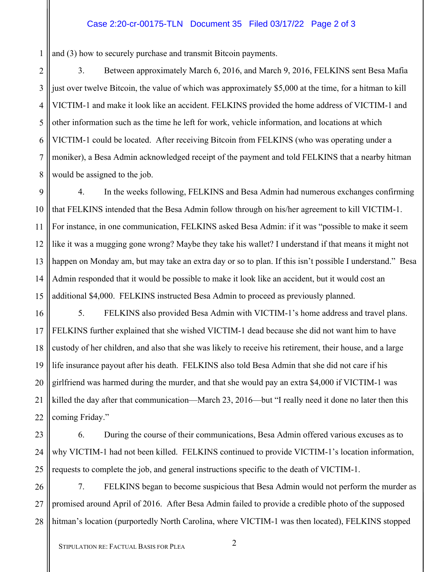## Case 2:20-cr-00175-TLN Document 35 Filed 03/17/22 Page 2 of 3

1 and (3) how to securely purchase and transmit Bitcoin payments.

2 3 4 5 6 7 8 3. Between approximately March 6, 2016, and March 9, 2016, FELKINS sent Besa Mafia just over twelve Bitcoin, the value of which was approximately \$5,000 at the time, for a hitman to kill VICTIM-1 and make it look like an accident. FELKINS provided the home address of VICTIM-1 and other information such as the time he left for work, vehicle information, and locations at which VICTIM-1 could be located. After receiving Bitcoin from FELKINS (who was operating under a moniker), a Besa Admin acknowledged receipt of the payment and told FELKINS that a nearby hitman would be assigned to the job.

9 10 11 12 13 14 15 4. In the weeks following, FELKINS and Besa Admin had numerous exchanges confirming that FELKINS intended that the Besa Admin follow through on his/her agreement to kill VICTIM-1. For instance, in one communication, FELKINS asked Besa Admin: if it was "possible to make it seem like it was a mugging gone wrong? Maybe they take his wallet? I understand if that means it might not happen on Monday am, but may take an extra day or so to plan. If this isn't possible I understand." Besa Admin responded that it would be possible to make it look like an accident, but it would cost an additional \$4,000. FELKINS instructed Besa Admin to proceed as previously planned.

16 17 18 19 20 21 22 5. FELKINS also provided Besa Admin with VICTIM-1's home address and travel plans. FELKINS further explained that she wished VICTIM-1 dead because she did not want him to have custody of her children, and also that she was likely to receive his retirement, their house, and a large life insurance payout after his death. FELKINS also told Besa Admin that she did not care if his girlfriend was harmed during the murder, and that she would pay an extra \$4,000 if VICTIM-1 was killed the day after that communication—March 23, 2016—but "I really need it done no later then this coming Friday."

23

24

25

6. During the course of their communications, Besa Admin offered various excuses as to why VICTIM-1 had not been killed. FELKINS continued to provide VICTIM-1's location information, requests to complete the job, and general instructions specific to the death of VICTIM-1.

26 27 28 7. FELKINS began to become suspicious that Besa Admin would not perform the murder as promised around April of 2016. After Besa Admin failed to provide a credible photo of the supposed hitman's location (purportedly North Carolina, where VICTIM-1 was then located), FELKINS stopped